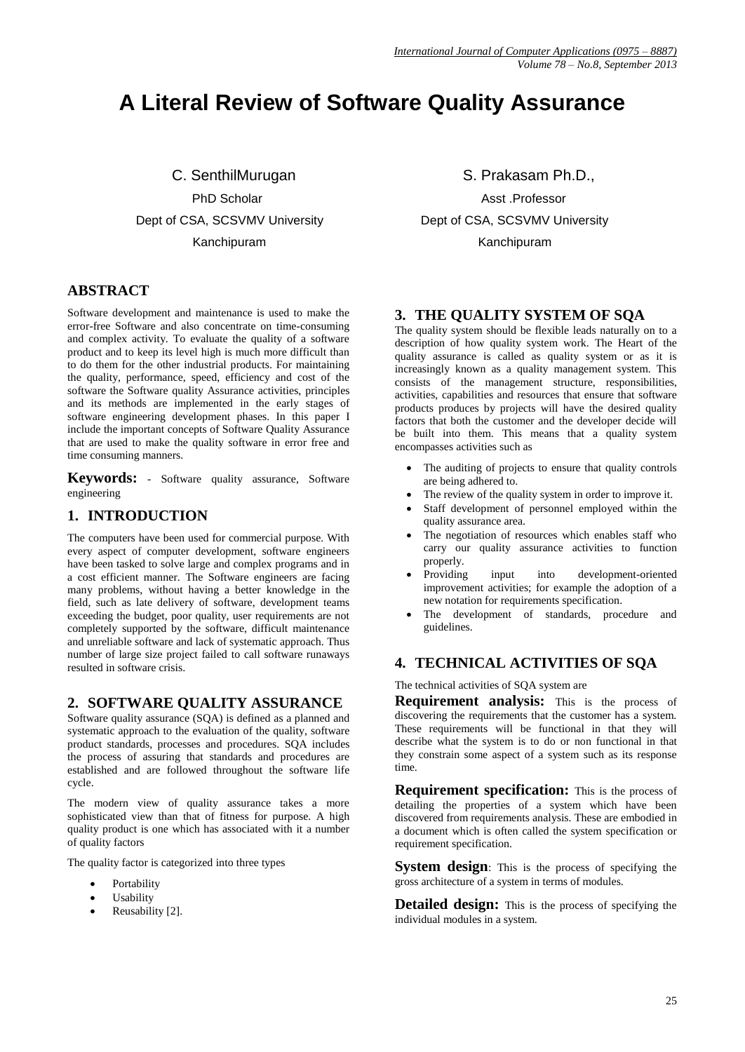# **A Literal Review of Software Quality Assurance**

C. SenthilMurugan S. Prakasam Ph.D.,

# **ABSTRACT**

Software development and maintenance is used to make the error-free Software and also concentrate on time-consuming and complex activity. To evaluate the quality of a software product and to keep its level high is much more difficult than to do them for the other industrial products. For maintaining the quality, performance, speed, efficiency and cost of the software the Software quality Assurance activities, principles and its methods are implemented in the early stages of software engineering development phases. In this paper I include the important concepts of Software Quality Assurance that are used to make the quality software in error free and time consuming manners.

**Keywords:** - Software quality assurance, Software engineering

# **1. INTRODUCTION**

The computers have been used for commercial purpose. With every aspect of computer development, software engineers have been tasked to solve large and complex programs and in a cost efficient manner. The Software engineers are facing many problems, without having a better knowledge in the field, such as late delivery of software, development teams exceeding the budget, poor quality, user requirements are not completely supported by the software, difficult maintenance and unreliable software and lack of systematic approach. Thus number of large size project failed to call software runaways resulted in software crisis.

# **2. SOFTWARE QUALITY ASSURANCE**

Software quality assurance (SQA) is defined as a planned and systematic approach to the evaluation of the quality, software product standards, processes and procedures. SQA includes the process of assuring that standards and procedures are established and are followed throughout the software life cycle.

The modern view of quality assurance takes a more sophisticated view than that of fitness for purpose. A high quality product is one which has associated with it a number of quality factors

The quality factor is categorized into three types

- Portability
- Usability
- Reusability [2].

PhD Scholar **Asst .Professor** Dept of CSA, SCSVMV University Dept of CSA, SCSVMV University Kanchipuram Kanchipuram

# **3. THE QUALITY SYSTEM OF SQA**

The quality system should be flexible leads naturally on to a description of how quality system work. The Heart of the quality assurance is called as quality system or as it is increasingly known as a quality management system. This consists of the management structure, responsibilities, activities, capabilities and resources that ensure that software products produces by projects will have the desired quality factors that both the customer and the developer decide will be built into them. This means that a quality system encompasses activities such as

- The auditing of projects to ensure that quality controls are being adhered to.
- The review of the quality system in order to improve it.
- Staff development of personnel employed within the quality assurance area.
- The negotiation of resources which enables staff who carry our quality assurance activities to function properly.
- Providing input into development-oriented improvement activities; for example the adoption of a new notation for requirements specification.
- The development of standards, procedure and guidelines.

# **4. TECHNICAL ACTIVITIES OF SQA**

The technical activities of SQA system are

**Requirement analysis:** This is the process of discovering the requirements that the customer has a system. These requirements will be functional in that they will describe what the system is to do or non functional in that they constrain some aspect of a system such as its response time.

**Requirement specification:** This is the process of detailing the properties of a system which have been discovered from requirements analysis. These are embodied in a document which is often called the system specification or requirement specification.

**System design:** This is the process of specifying the gross architecture of a system in terms of modules.

**Detailed design:** This is the process of specifying the individual modules in a system.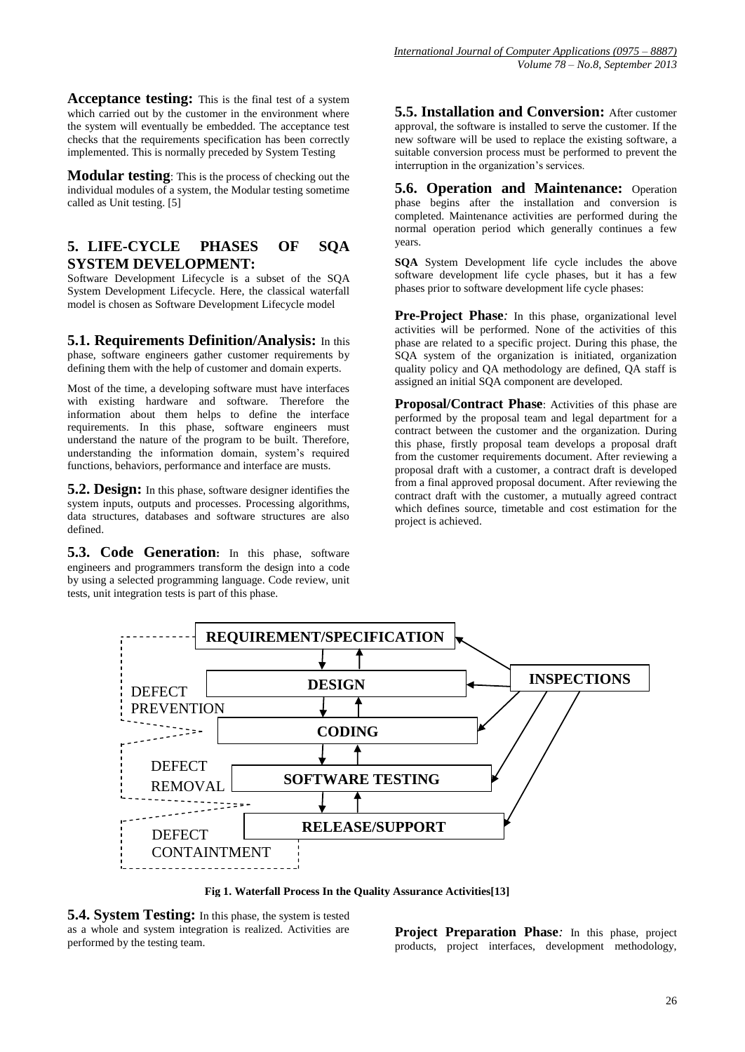**Acceptance testing:** This is the final test of a system which carried out by the customer in the environment where the system will eventually be embedded. The acceptance test checks that the requirements specification has been correctly implemented. This is normally preceded by System Testing

**Modular testing**: This is the process of checking out the individual modules of a system, the Modular testing sometime called as Unit testing. [5]

# **5. LIFE-CYCLE PHASES OF SQA SYSTEM DEVELOPMENT:**

Software Development Lifecycle is a subset of the SQA System Development Lifecycle. Here, the classical waterfall model is chosen as Software Development Lifecycle model

**5.1. Requirements Definition/Analysis:** In this phase, software engineers gather customer requirements by defining them with the help of customer and domain experts.

Most of the time, a developing software must have interfaces with existing hardware and software. Therefore the information about them helps to define the interface requirements. In this phase, software engineers must understand the nature of the program to be built. Therefore, understanding the information domain, system's required functions, behaviors, performance and interface are musts.

**5.2. Design:** In this phase, software designer identifies the system inputs, outputs and processes. Processing algorithms, data structures, databases and software structures are also defined.

**5.3. Code Generation:** In this phase, software engineers and programmers transform the design into a code by using a selected programming language. Code review, unit tests, unit integration tests is part of this phase.

**5.5. Installation and Conversion:** After customer approval, the software is installed to serve the customer. If the new software will be used to replace the existing software, a suitable conversion process must be performed to prevent the interruption in the organization's services.

**5.6. Operation and Maintenance:** Operation phase begins after the installation and conversion is completed. Maintenance activities are performed during the normal operation period which generally continues a few years.

**SQA** System Development life cycle includes the above software development life cycle phases, but it has a few phases prior to software development life cycle phases:

**Pre-Project Phase***:* In this phase, organizational level activities will be performed. None of the activities of this phase are related to a specific project. During this phase, the SQA system of the organization is initiated, organization quality policy and QA methodology are defined, QA staff is assigned an initial SQA component are developed.

**Proposal/Contract Phase**: Activities of this phase are performed by the proposal team and legal department for a contract between the customer and the organization. During this phase, firstly proposal team develops a proposal draft from the customer requirements document. After reviewing a proposal draft with a customer, a contract draft is developed from a final approved proposal document. After reviewing the contract draft with the customer, a mutually agreed contract which defines source, timetable and cost estimation for the project is achieved.



**Fig 1. Waterfall Process In the Quality Assurance Activities[13]**

**5.4. System Testing:** In this phase, the system is tested as a whole and system integration is realized. Activities are performed by the testing team.

**Project Preparation Phase***:* In this phase, project products, project interfaces, development methodology,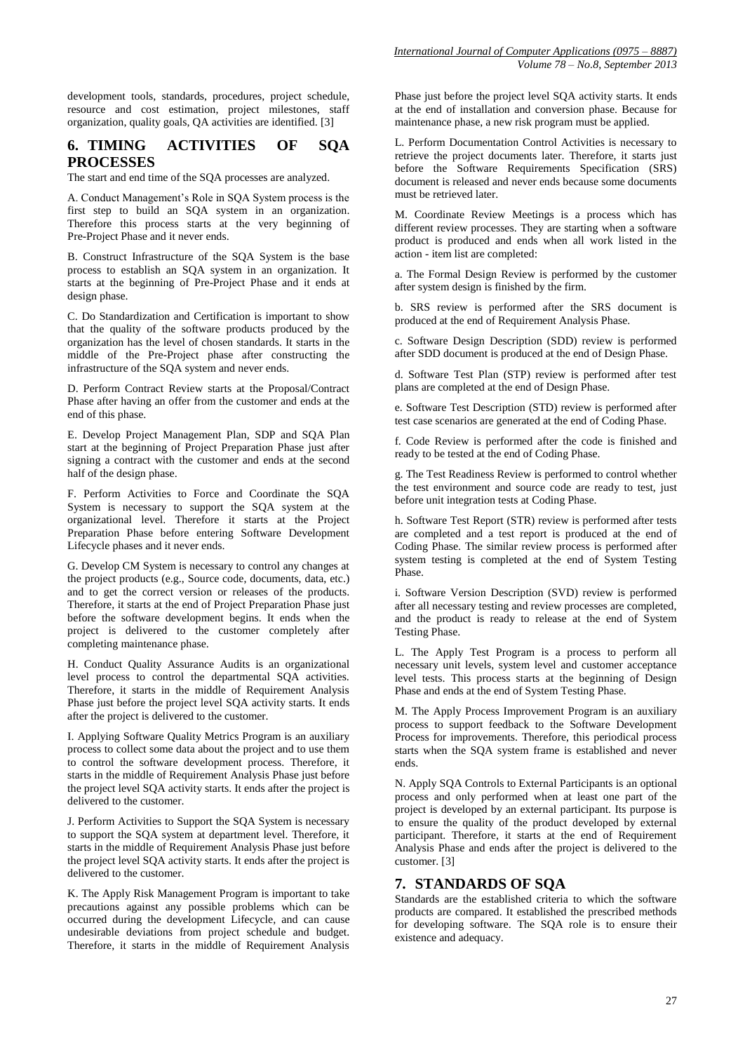development tools, standards, procedures, project schedule, resource and cost estimation, project milestones, staff organization, quality goals, QA activities are identified. [3]

# **6. TIMING ACTIVITIES OF SQA PROCESSES**

The start and end time of the SQA processes are analyzed.

A. Conduct Management's Role in SQA System process is the first step to build an SQA system in an organization. Therefore this process starts at the very beginning of Pre-Project Phase and it never ends.

B. Construct Infrastructure of the SQA System is the base process to establish an SQA system in an organization. It starts at the beginning of Pre-Project Phase and it ends at design phase.

C. Do Standardization and Certification is important to show that the quality of the software products produced by the organization has the level of chosen standards. It starts in the middle of the Pre-Project phase after constructing the infrastructure of the SQA system and never ends.

D. Perform Contract Review starts at the Proposal/Contract Phase after having an offer from the customer and ends at the end of this phase.

E. Develop Project Management Plan, SDP and SQA Plan start at the beginning of Project Preparation Phase just after signing a contract with the customer and ends at the second half of the design phase.

F. Perform Activities to Force and Coordinate the SQA System is necessary to support the SQA system at the organizational level. Therefore it starts at the Project Preparation Phase before entering Software Development Lifecycle phases and it never ends.

G. Develop CM System is necessary to control any changes at the project products (e.g., Source code, documents, data, etc.) and to get the correct version or releases of the products. Therefore, it starts at the end of Project Preparation Phase just before the software development begins. It ends when the project is delivered to the customer completely after completing maintenance phase.

H. Conduct Quality Assurance Audits is an organizational level process to control the departmental SQA activities. Therefore, it starts in the middle of Requirement Analysis Phase just before the project level SQA activity starts. It ends after the project is delivered to the customer.

I. Applying Software Quality Metrics Program is an auxiliary process to collect some data about the project and to use them to control the software development process. Therefore, it starts in the middle of Requirement Analysis Phase just before the project level SQA activity starts. It ends after the project is delivered to the customer.

J. Perform Activities to Support the SQA System is necessary to support the SQA system at department level. Therefore, it starts in the middle of Requirement Analysis Phase just before the project level SQA activity starts. It ends after the project is delivered to the customer.

K. The Apply Risk Management Program is important to take precautions against any possible problems which can be occurred during the development Lifecycle, and can cause undesirable deviations from project schedule and budget. Therefore, it starts in the middle of Requirement Analysis

Phase just before the project level SQA activity starts. It ends at the end of installation and conversion phase. Because for maintenance phase, a new risk program must be applied.

L. Perform Documentation Control Activities is necessary to retrieve the project documents later. Therefore, it starts just before the Software Requirements Specification (SRS) document is released and never ends because some documents must be retrieved later.

M. Coordinate Review Meetings is a process which has different review processes. They are starting when a software product is produced and ends when all work listed in the action - item list are completed:

a. The Formal Design Review is performed by the customer after system design is finished by the firm.

b. SRS review is performed after the SRS document is produced at the end of Requirement Analysis Phase.

c. Software Design Description (SDD) review is performed after SDD document is produced at the end of Design Phase.

d. Software Test Plan (STP) review is performed after test plans are completed at the end of Design Phase.

e. Software Test Description (STD) review is performed after test case scenarios are generated at the end of Coding Phase.

f. Code Review is performed after the code is finished and ready to be tested at the end of Coding Phase.

g. The Test Readiness Review is performed to control whether the test environment and source code are ready to test, just before unit integration tests at Coding Phase.

h. Software Test Report (STR) review is performed after tests are completed and a test report is produced at the end of Coding Phase. The similar review process is performed after system testing is completed at the end of System Testing Phase.

i. Software Version Description (SVD) review is performed after all necessary testing and review processes are completed, and the product is ready to release at the end of System Testing Phase.

L. The Apply Test Program is a process to perform all necessary unit levels, system level and customer acceptance level tests. This process starts at the beginning of Design Phase and ends at the end of System Testing Phase.

M. The Apply Process Improvement Program is an auxiliary process to support feedback to the Software Development Process for improvements. Therefore, this periodical process starts when the SQA system frame is established and never ends.

N. Apply SQA Controls to External Participants is an optional process and only performed when at least one part of the project is developed by an external participant. Its purpose is to ensure the quality of the product developed by external participant. Therefore, it starts at the end of Requirement Analysis Phase and ends after the project is delivered to the customer. [3]

# **7. STANDARDS OF SQA**

Standards are the established criteria to which the software products are compared. It established the prescribed methods for developing software. The SQA role is to ensure their existence and adequacy.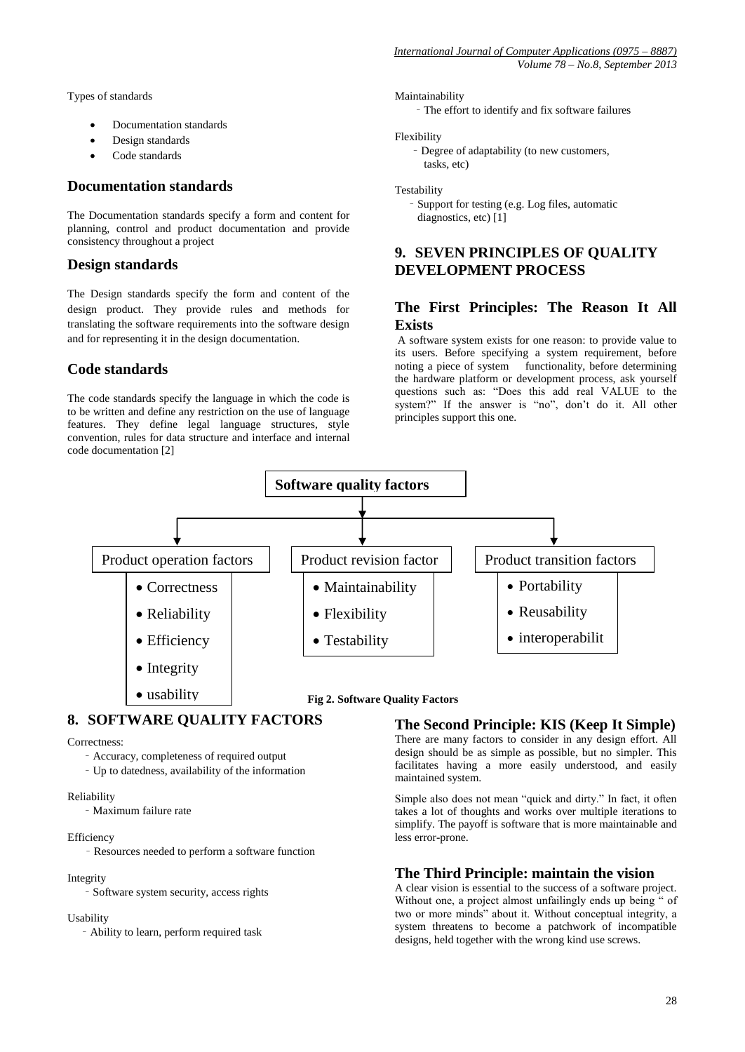Types of standards

- Documentation standards
- Design standards
- Code standards

# **Documentation standards**

The Documentation standards specify a form and content for planning, control and product documentation and provide consistency throughout a project

# **Design standards**

The Design standards specify the form and content of the design product. They provide rules and methods for translating the software requirements into the software design and for representing it in the design documentation.

# **Code standards**

The code standards specify the language in which the code is to be written and define any restriction on the use of language features. They define legal language structures, style convention, rules for data structure and interface and internal code documentation [2]

#### Maintainability

– The effort to identify and fix software failures

#### Flexibility

– Degree of adaptability (to new customers, tasks, etc)

#### **Testability**

– Support for testing (e.g. Log files, automatic diagnostics, etc) [1]

# **9. SEVEN PRINCIPLES OF QUALITY DEVELOPMENT PROCESS**

# **The First Principles: The Reason It All Exists**

A software system exists for one reason: to provide value to its users. Before specifying a system requirement, before noting a piece of system functionality, before determining the hardware platform or development process, ask yourself questions such as: "Does this add real VALUE to the system?" If the answer is "no", don't do it. All other principles support this one.



# **8. SOFTWARE QUALITY FACTORS**

#### Correctness:

- Accuracy, completeness of required output
- Up to datedness, availability of the information

#### Reliability

– Maximum failure rate

#### Efficiency

– Resources needed to perform a software function

#### Integrity

– Software system security, access rights

#### Usability

– Ability to learn, perform required task

# **The Second Principle: KIS (Keep It Simple)**

There are many factors to consider in any design effort. All design should be as simple as possible, but no simpler. This facilitates having a more easily understood, and easily maintained system.

Simple also does not mean "quick and dirty." In fact, it often takes a lot of thoughts and works over multiple iterations to simplify. The payoff is software that is more maintainable and less error-prone.

# **The Third Principle: maintain the vision**

A clear vision is essential to the success of a software project. Without one, a project almost unfailingly ends up being " of two or more minds" about it. Without conceptual integrity, a system threatens to become a patchwork of incompatible designs, held together with the wrong kind use screws.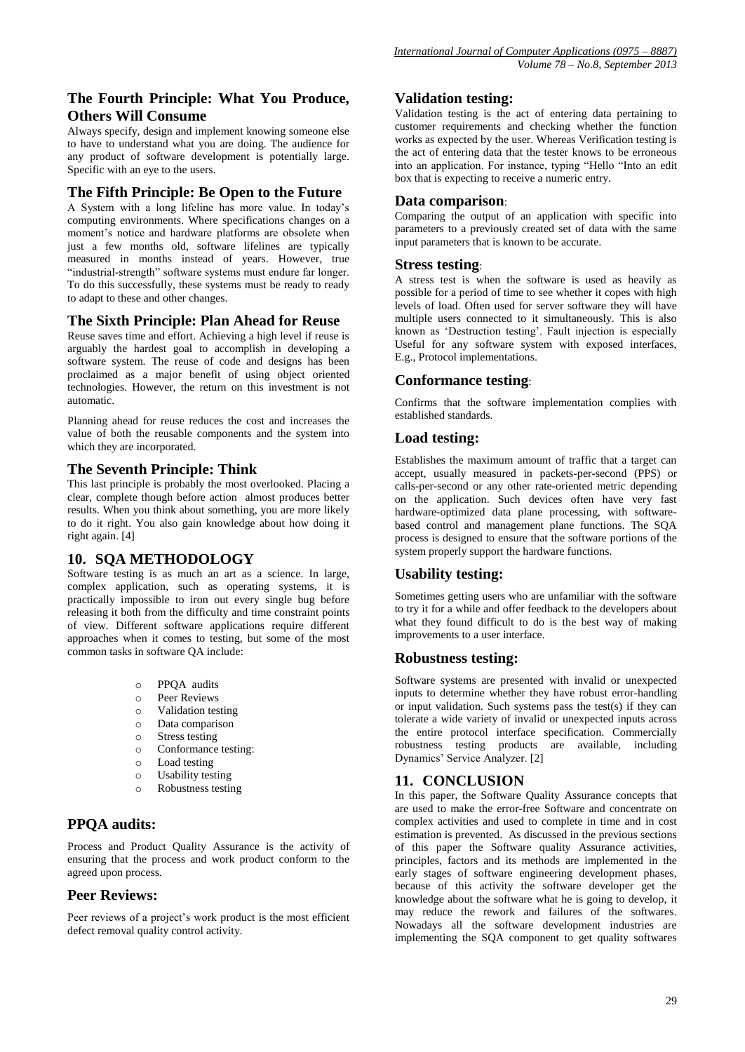# **The Fourth Principle: What You Produce, Others Will Consume**

Always specify, design and implement knowing someone else to have to understand what you are doing. The audience for any product of software development is potentially large. Specific with an eye to the users.

## **The Fifth Principle: Be Open to the Future**

A System with a long lifeline has more value. In today's computing environments. Where specifications changes on a moment's notice and hardware platforms are obsolete when just a few months old, software lifelines are typically measured in months instead of years. However, true "industrial-strength" software systems must endure far longer. To do this successfully, these systems must be ready to ready to adapt to these and other changes.

# **The Sixth Principle: Plan Ahead for Reuse**

Reuse saves time and effort. Achieving a high level if reuse is arguably the hardest goal to accomplish in developing a software system. The reuse of code and designs has been proclaimed as a major benefit of using object oriented technologies. However, the return on this investment is not automatic.

Planning ahead for reuse reduces the cost and increases the value of both the reusable components and the system into which they are incorporated.

# **The Seventh Principle: Think**

This last principle is probably the most overlooked. Placing a clear, complete though before action almost produces better results. When you think about something, you are more likely to do it right. You also gain knowledge about how doing it right again. [4]

# **10. SQA METHODOLOGY**

Software testing is as much an art as a science. In large, complex application, such as operating systems, it is practically impossible to iron out every single bug before releasing it both from the difficulty and time constraint points of view. Different software applications require different approaches when it comes to testing, but some of the most common tasks in software QA include:

- o PPQA audits
- o Peer Reviews
- o Validation testing
- o Data comparison
- o Stress testing
- o Conformance testing:
- o Load testing
- o Usability testing
- o Robustness testing

# **PPQA audits:**

Process and Product Quality Assurance is the activity of ensuring that the process and work product conform to the agreed upon process.

### **Peer Reviews:**

Peer reviews of a project's work product is the most efficient defect removal quality control activity.

# **Validation testing:**

Validation testing is the act of entering data pertaining to customer requirements and checking whether the function works as expected by the user. Whereas Verification testing is the act of entering data that the tester knows to be erroneous into an application. For instance, typing "Hello "Into an edit box that is expecting to receive a numeric entry.

### **Data comparison**:

Comparing the output of an application with specific into parameters to a previously created set of data with the same input parameters that is known to be accurate.

#### **Stress testing**:

A stress test is when the software is used as heavily as possible for a period of time to see whether it copes with high levels of load. Often used for server software they will have multiple users connected to it simultaneously. This is also known as 'Destruction testing'. Fault injection is especially Useful for any software system with exposed interfaces, E.g., Protocol implementations.

# **Conformance testing**:

Confirms that the software implementation complies with established standards.

# **Load testing:**

Establishes the maximum amount of traffic that a target can accept, usually measured in packets-per-second (PPS) or calls-per-second or any other rate-oriented metric depending on the application. Such devices often have very fast hardware-optimized data plane processing, with softwarebased control and management plane functions. The SQA process is designed to ensure that the software portions of the system properly support the hardware functions.

# **Usability testing:**

Sometimes getting users who are unfamiliar with the software to try it for a while and offer feedback to the developers about what they found difficult to do is the best way of making improvements to a user interface.

### **Robustness testing:**

Software systems are presented with invalid or unexpected inputs to determine whether they have robust error-handling or input validation. Such systems pass the test $(s)$  if they can tolerate a wide variety of invalid or unexpected inputs across the entire protocol interface specification. Commercially robustness testing products are available, including Dynamics' Service Analyzer. [2]

# **11. CONCLUSION**

In this paper, the Software Quality Assurance concepts that are used to make the error-free Software and concentrate on complex activities and used to complete in time and in cost estimation is prevented. As discussed in the previous sections of this paper the Software quality Assurance activities, principles, factors and its methods are implemented in the early stages of software engineering development phases, because of this activity the software developer get the knowledge about the software what he is going to develop, it may reduce the rework and failures of the softwares. Nowadays all the software development industries are implementing the SQA component to get quality softwares